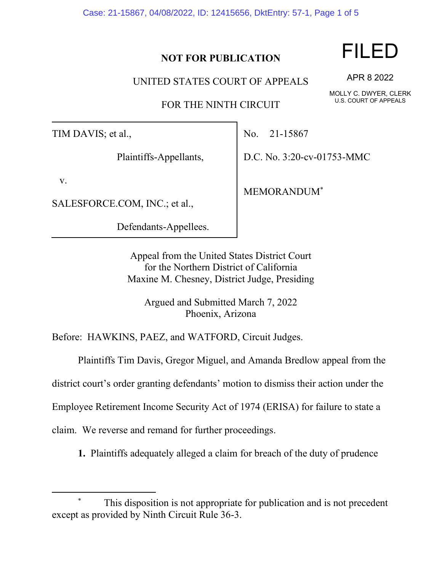Case: 21-15867, 04/08/2022, ID: 12415656, DktEntry: 57-1, Page 1 of 5

## **NOT FOR PUBLICATION**

UNITED STATES COURT OF APPEALS

FOR THE NINTH CIRCUIT

TIM DAVIS; et al.,

Plaintiffs-Appellants,

v.

SALESFORCE.COM, INC.; et al.,

Defendants-Appellees.

No. 21-15867

D.C. No. 3:20-cv-01753-MMC

MEMORANDUM\*

Appeal from the United States District Court for the Northern District of California Maxine M. Chesney, District Judge, Presiding

Argued and Submitted March 7, 2022 Phoenix, Arizona

Before: HAWKINS, PAEZ, and WATFORD, Circuit Judges.

Plaintiffs Tim Davis, Gregor Miguel, and Amanda Bredlow appeal from the

district court's order granting defendants' motion to dismiss their action under the

Employee Retirement Income Security Act of 1974 (ERISA) for failure to state a

claim. We reverse and remand for further proceedings.

**1.** Plaintiffs adequately alleged a claim for breach of the duty of prudence

FILED

APR 8 2022

MOLLY C. DWYER, CLERK U.S. COURT OF APPEALS

This disposition is not appropriate for publication and is not precedent except as provided by Ninth Circuit Rule 36-3.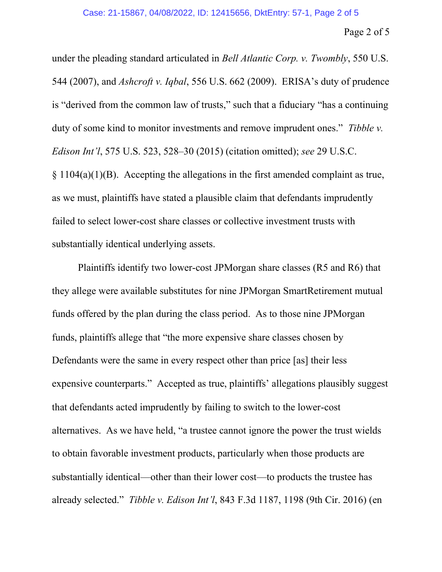under the pleading standard articulated in *Bell Atlantic Corp. v. Twombly*, 550 U.S. 544 (2007), and *Ashcroft v. Iqbal*, 556 U.S. 662 (2009). ERISA's duty of prudence is "derived from the common law of trusts," such that a fiduciary "has a continuing duty of some kind to monitor investments and remove imprudent ones." *Tibble v. Edison Int'l*, 575 U.S. 523, 528–30 (2015) (citation omitted); *see* 29 U.S.C.  $\S 1104(a)(1)(B)$ . Accepting the allegations in the first amended complaint as true, as we must, plaintiffs have stated a plausible claim that defendants imprudently failed to select lower-cost share classes or collective investment trusts with substantially identical underlying assets.

Plaintiffs identify two lower-cost JPMorgan share classes (R5 and R6) that they allege were available substitutes for nine JPMorgan SmartRetirement mutual funds offered by the plan during the class period. As to those nine JPMorgan funds, plaintiffs allege that "the more expensive share classes chosen by Defendants were the same in every respect other than price [as] their less expensive counterparts." Accepted as true, plaintiffs' allegations plausibly suggest that defendants acted imprudently by failing to switch to the lower-cost alternatives. As we have held, "a trustee cannot ignore the power the trust wields to obtain favorable investment products, particularly when those products are substantially identical—other than their lower cost—to products the trustee has already selected." *Tibble v. Edison Int'l*, 843 F.3d 1187, 1198 (9th Cir. 2016) (en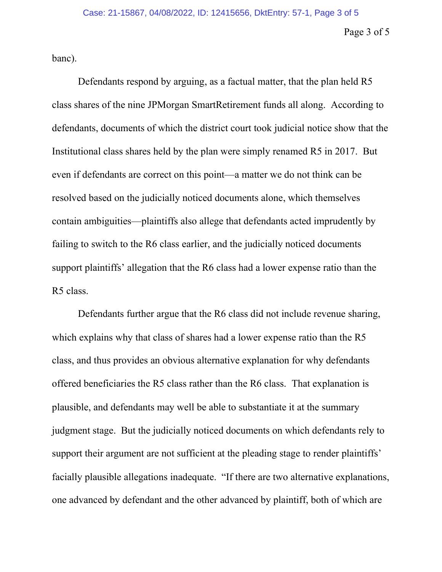Page 3 of 5

banc).

Defendants respond by arguing, as a factual matter, that the plan held R5 class shares of the nine JPMorgan SmartRetirement funds all along. According to defendants, documents of which the district court took judicial notice show that the Institutional class shares held by the plan were simply renamed R5 in 2017. But even if defendants are correct on this point—a matter we do not think can be resolved based on the judicially noticed documents alone, which themselves contain ambiguities—plaintiffs also allege that defendants acted imprudently by failing to switch to the R6 class earlier, and the judicially noticed documents support plaintiffs' allegation that the R6 class had a lower expense ratio than the R5 class.

Defendants further argue that the R6 class did not include revenue sharing, which explains why that class of shares had a lower expense ratio than the R5 class, and thus provides an obvious alternative explanation for why defendants offered beneficiaries the R5 class rather than the R6 class. That explanation is plausible, and defendants may well be able to substantiate it at the summary judgment stage. But the judicially noticed documents on which defendants rely to support their argument are not sufficient at the pleading stage to render plaintiffs' facially plausible allegations inadequate. "If there are two alternative explanations, one advanced by defendant and the other advanced by plaintiff, both of which are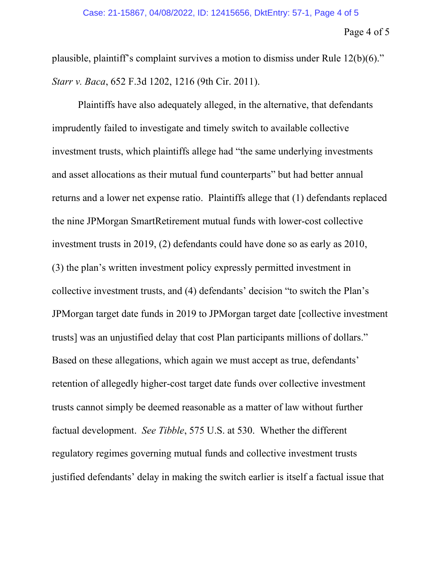## Page 4 of 5

plausible, plaintiff's complaint survives a motion to dismiss under Rule 12(b)(6)." *Starr v. Baca*, 652 F.3d 1202, 1216 (9th Cir. 2011).

Plaintiffs have also adequately alleged, in the alternative, that defendants imprudently failed to investigate and timely switch to available collective investment trusts, which plaintiffs allege had "the same underlying investments and asset allocations as their mutual fund counterparts" but had better annual returns and a lower net expense ratio. Plaintiffs allege that (1) defendants replaced the nine JPMorgan SmartRetirement mutual funds with lower-cost collective investment trusts in 2019, (2) defendants could have done so as early as 2010, (3) the plan's written investment policy expressly permitted investment in collective investment trusts, and (4) defendants' decision "to switch the Plan's JPMorgan target date funds in 2019 to JPMorgan target date [collective investment trusts] was an unjustified delay that cost Plan participants millions of dollars." Based on these allegations, which again we must accept as true, defendants' retention of allegedly higher-cost target date funds over collective investment trusts cannot simply be deemed reasonable as a matter of law without further factual development. *See Tibble*, 575 U.S. at 530. Whether the different regulatory regimes governing mutual funds and collective investment trusts justified defendants' delay in making the switch earlier is itself a factual issue that